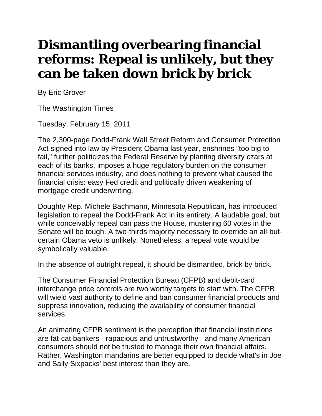## **Dismantling overbearing financial reforms: Repeal is unlikely, but they can be taken down brick by brick**

By Eric Grover

The Washington Times

Tuesday, February 15, 2011

The 2,300-page Dodd-Frank Wall Street Reform and Consumer Protection Act signed into law by President Obama last year, enshrines "too big to fail," further politicizes the Federal Reserve by planting diversity czars at each of its banks, imposes a huge regulatory burden on the consumer financial services industry, and does nothing to prevent what caused the financial crisis: easy Fed credit and politically driven weakening of mortgage credit underwriting.

Doughty Rep. Michele Bachmann, Minnesota Republican, has introduced legislation to repeal the Dodd-Frank Act in its entirety. A laudable goal, but while conceivably repeal can pass the House, mustering 60 votes in the Senate will be tough. A two-thirds majority necessary to override an all-butcertain Obama veto is unlikely. Nonetheless, a repeal vote would be symbolically valuable.

In the absence of outright repeal, it should be dismantled, brick by brick.

The Consumer Financial Protection Bureau (CFPB) and debit-card interchange price controls are two worthy targets to start with. The CFPB will wield vast authority to define and ban consumer financial products and suppress innovation, reducing the availability of consumer financial services.

An animating CFPB sentiment is the perception that financial institutions are fat-cat bankers - rapacious and untrustworthy - and many American consumers should not be trusted to manage their own financial affairs. Rather, Washington mandarins are better equipped to decide what's in Joe and Sally Sixpacks' best interest than they are.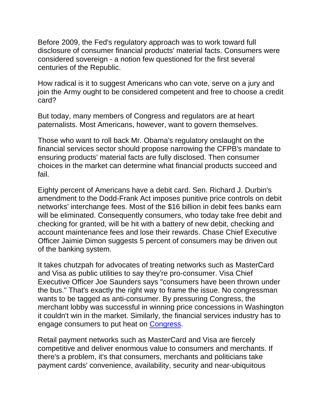Before 2009, the Fed's regulatory approach was to work toward full disclosure of consumer financial products' material facts. Consumers were considered sovereign - a notion few questioned for the first several centuries of the Republic.

How radical is it to suggest Americans who can vote, serve on a jury and join the Army ought to be considered competent and free to choose a credit card?

But today, many members of Congress and regulators are at heart paternalists. Most Americans, however, want to govern themselves.

Those who want to roll back Mr. Obama's regulatory onslaught on the financial services sector should propose narrowing the CFPB's mandate to ensuring products' material facts are fully disclosed. Then consumer choices in the market can determine what financial products succeed and fail.

Eighty percent of Americans have a debit card. Sen. Richard J. Durbin's amendment to the Dodd-Frank Act imposes punitive price controls on debit networks' interchange fees. Most of the \$16 billion in debit fees banks earn will be eliminated. Consequently consumers, who today take free debit and checking for granted, will be hit with a battery of new debit, checking and account maintenance fees and lose their rewards. Chase Chief Executive Officer Jaimie Dimon suggests 5 percent of consumers may be driven out of the banking system.

It takes chutzpah for advocates of treating networks such as MasterCard and Visa as public utilities to say they're pro-consumer. Visa Chief Executive Officer Joe Saunders says "consumers have been thrown under the bus." That's exactly the right way to frame the issue. No congressman wants to be tagged as anti-consumer. By pressuring Congress, the merchant lobby was successful in winning price concessions in Washington it couldn't win in the market. Similarly, the financial services industry has to engage consumers to put heat on Congress.

Retail payment networks such as MasterCard and Visa are fiercely competitive and deliver enormous value to consumers and merchants. If there's a problem, it's that consumers, merchants and politicians take payment cards' convenience, availability, security and near-ubiquitous